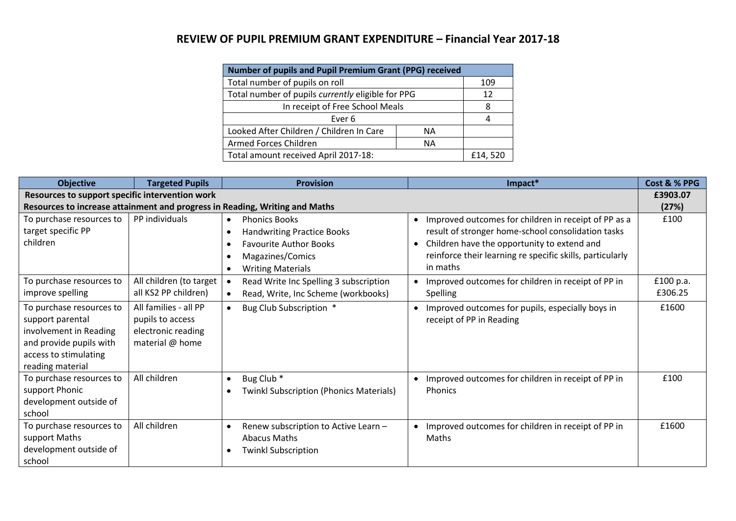## **REVIEW OF PUPIL PREMIUM GRANT EXPENDITURE – Financial Year 2017-18**

| <b>Number of pupils and Pupil Premium Grant (PPG) received</b> |         |  |  |  |
|----------------------------------------------------------------|---------|--|--|--|
| Total number of pupils on roll                                 | 109     |  |  |  |
| Total number of pupils currently eligible for PPG              | 12      |  |  |  |
| In receipt of Free School Meals                                | 8       |  |  |  |
| Ever 6                                                         |         |  |  |  |
| Looked After Children / Children In Care                       | ΝA      |  |  |  |
| Armed Forces Children                                          |         |  |  |  |
| Total amount received April 2017-18:                           | £14,520 |  |  |  |

| <b>Objective</b>                                                                                                                               | <b>Targeted Pupils</b>                                                             | <b>Provision</b>                                                                                                                           | Impact*                                                                                                                                                                                                                                           | Cost & % PPG         |
|------------------------------------------------------------------------------------------------------------------------------------------------|------------------------------------------------------------------------------------|--------------------------------------------------------------------------------------------------------------------------------------------|---------------------------------------------------------------------------------------------------------------------------------------------------------------------------------------------------------------------------------------------------|----------------------|
| Resources to support specific intervention work                                                                                                |                                                                                    |                                                                                                                                            |                                                                                                                                                                                                                                                   | £3903.07             |
| Resources to increase attainment and progress in Reading, Writing and Maths                                                                    |                                                                                    |                                                                                                                                            |                                                                                                                                                                                                                                                   | (27%)                |
| To purchase resources to<br>target specific PP<br>children                                                                                     | PP individuals                                                                     | <b>Phonics Books</b><br><b>Handwriting Practice Books</b><br><b>Favourite Author Books</b><br>Magazines/Comics<br><b>Writing Materials</b> | • Improved outcomes for children in receipt of PP as a<br>result of stronger home-school consolidation tasks<br>Children have the opportunity to extend and<br>$\bullet$<br>reinforce their learning re specific skills, particularly<br>in maths | £100                 |
| To purchase resources to<br>improve spelling                                                                                                   | All children (to target<br>all KS2 PP children)                                    | Read Write Inc Spelling 3 subscription<br>Read, Write, Inc Scheme (workbooks)                                                              | • Improved outcomes for children in receipt of PP in<br>Spelling                                                                                                                                                                                  | £100 p.a.<br>£306.25 |
| To purchase resources to<br>support parental<br>involvement in Reading<br>and provide pupils with<br>access to stimulating<br>reading material | All families - all PP<br>pupils to access<br>electronic reading<br>material @ home | Bug Club Subscription *<br>$\bullet$                                                                                                       | Improved outcomes for pupils, especially boys in<br>$\bullet$<br>receipt of PP in Reading                                                                                                                                                         | £1600                |
| To purchase resources to<br>support Phonic<br>development outside of<br>school                                                                 | All children                                                                       | Bug Club <sup>*</sup><br>Twinkl Subscription (Phonics Materials)                                                                           | Improved outcomes for children in receipt of PP in<br>$\bullet$<br><b>Phonics</b>                                                                                                                                                                 | £100                 |
| To purchase resources to<br>support Maths<br>development outside of<br>school                                                                  | All children                                                                       | Renew subscription to Active Learn -<br><b>Abacus Maths</b><br>Twinkl Subscription                                                         | • Improved outcomes for children in receipt of PP in<br>Maths                                                                                                                                                                                     | £1600                |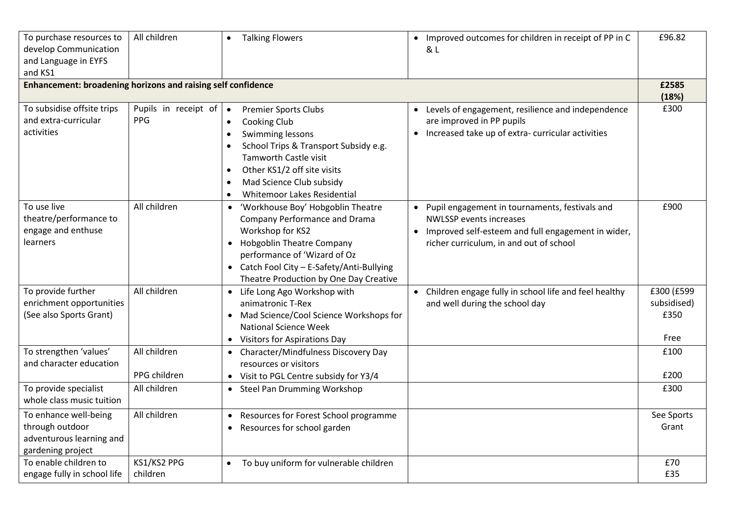| To purchase resources to<br>develop Communication<br>and Language in EYFS<br>and KS1      | All children                                 | <b>Talking Flowers</b><br>$\bullet$                                                                                                                                                                                                                    | Improved outcomes for children in receipt of PP in C<br>$\bullet$<br>& L                                                                                                                         | £96.82                                    |
|-------------------------------------------------------------------------------------------|----------------------------------------------|--------------------------------------------------------------------------------------------------------------------------------------------------------------------------------------------------------------------------------------------------------|--------------------------------------------------------------------------------------------------------------------------------------------------------------------------------------------------|-------------------------------------------|
| <b>Enhancement: broadening horizons and raising self confidence</b>                       |                                              |                                                                                                                                                                                                                                                        |                                                                                                                                                                                                  | £2585<br>(18%)                            |
| To subsidise offsite trips<br>and extra-curricular<br>activities                          | Pupils in receipt of $\bullet$<br><b>PPG</b> | <b>Premier Sports Clubs</b><br>Cooking Club<br>$\bullet$<br>Swimming lessons<br>School Trips & Transport Subsidy e.g.<br>Tamworth Castle visit<br>Other KS1/2 off site visits<br>$\bullet$<br>Mad Science Club subsidy<br>Whitemoor Lakes Residential  | • Levels of engagement, resilience and independence<br>are improved in PP pupils<br>Increased take up of extra-curricular activities<br>$\bullet$                                                | £300                                      |
| To use live<br>theatre/performance to<br>engage and enthuse<br>learners                   | All children                                 | • 'Workhouse Boy' Hobgoblin Theatre<br><b>Company Performance and Drama</b><br>Workshop for KS2<br>• Hobgoblin Theatre Company<br>performance of 'Wizard of Oz<br>• Catch Fool City - E-Safety/Anti-Bullying<br>Theatre Production by One Day Creative | • Pupil engagement in tournaments, festivals and<br><b>NWLSSP</b> events increases<br>Improved self-esteem and full engagement in wider,<br>$\bullet$<br>richer curriculum, in and out of school | £900                                      |
| To provide further<br>enrichment opportunities<br>(See also Sports Grant)                 | All children                                 | • Life Long Ago Workshop with<br>animatronic T-Rex<br>• Mad Science/Cool Science Workshops for<br><b>National Science Week</b><br>• Visitors for Aspirations Day                                                                                       | Children engage fully in school life and feel healthy<br>$\bullet$<br>and well during the school day                                                                                             | £300 (£599<br>subsidised)<br>£350<br>Free |
| To strengthen 'values'                                                                    | All children                                 | • Character/Mindfulness Discovery Day                                                                                                                                                                                                                  |                                                                                                                                                                                                  | £100                                      |
| and character education                                                                   | PPG children                                 | resources or visitors<br>• Visit to PGL Centre subsidy for Y3/4                                                                                                                                                                                        |                                                                                                                                                                                                  | £200                                      |
| To provide specialist<br>whole class music tuition                                        | All children                                 | • Steel Pan Drumming Workshop                                                                                                                                                                                                                          |                                                                                                                                                                                                  | £300                                      |
| To enhance well-being<br>through outdoor<br>adventurous learning and<br>gardening project | All children                                 | Resources for Forest School programme<br>$\bullet$<br>Resources for school garden<br>$\bullet$                                                                                                                                                         |                                                                                                                                                                                                  | See Sports<br>Grant                       |
| To enable children to<br>engage fully in school life                                      | KS1/KS2 PPG<br>children                      | • To buy uniform for vulnerable children                                                                                                                                                                                                               |                                                                                                                                                                                                  | £70<br>£35                                |